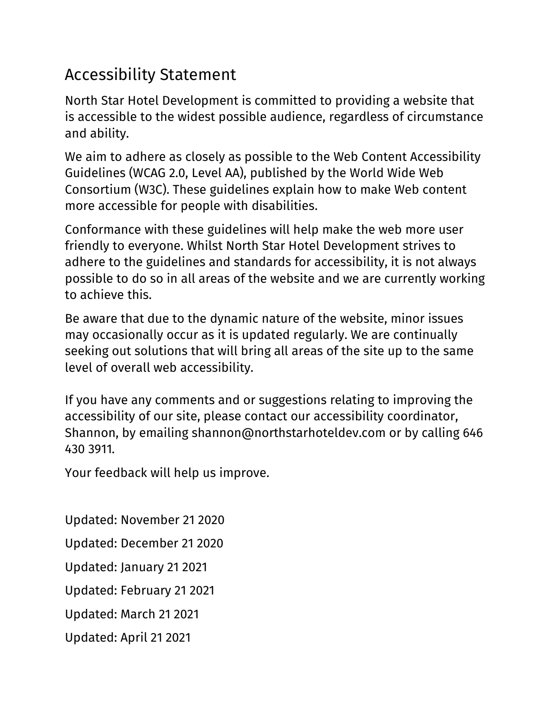## Accessibility Statement

North Star Hotel Development is committed to providing a website that is accessible to the widest possible audience, regardless of circumstance and ability.

We aim to adhere as closely as possible to the Web Content Accessibility Guidelines (WCAG 2.0, Level AA), published by the World Wide Web Consortium (W3C). These guidelines explain how to make Web content more accessible for people with disabilities.

Conformance with these guidelines will help make the web more user friendly to everyone. Whilst North Star Hotel Development strives to adhere to the guidelines and standards for accessibility, it is not always possible to do so in all areas of the website and we are currently working to achieve this.

Be aware that due to the dynamic nature of the website, minor issues may occasionally occur as it is updated regularly. We are continually seeking out solutions that will bring all areas of the site up to the same level of overall web accessibility.

If you have any comments and or suggestions relating to improving the accessibility of our site, please contact our accessibility coordinator, Shannon, by emailing shannon@northstarhoteldev.com or by calling 646 430 3911*.*

Your feedback will help us improve.

Updated: November 21 2020 Updated: December 21 2020 Updated: January 21 2021 Updated: February 21 2021 Updated: March 21 2021 Updated: April 21 2021